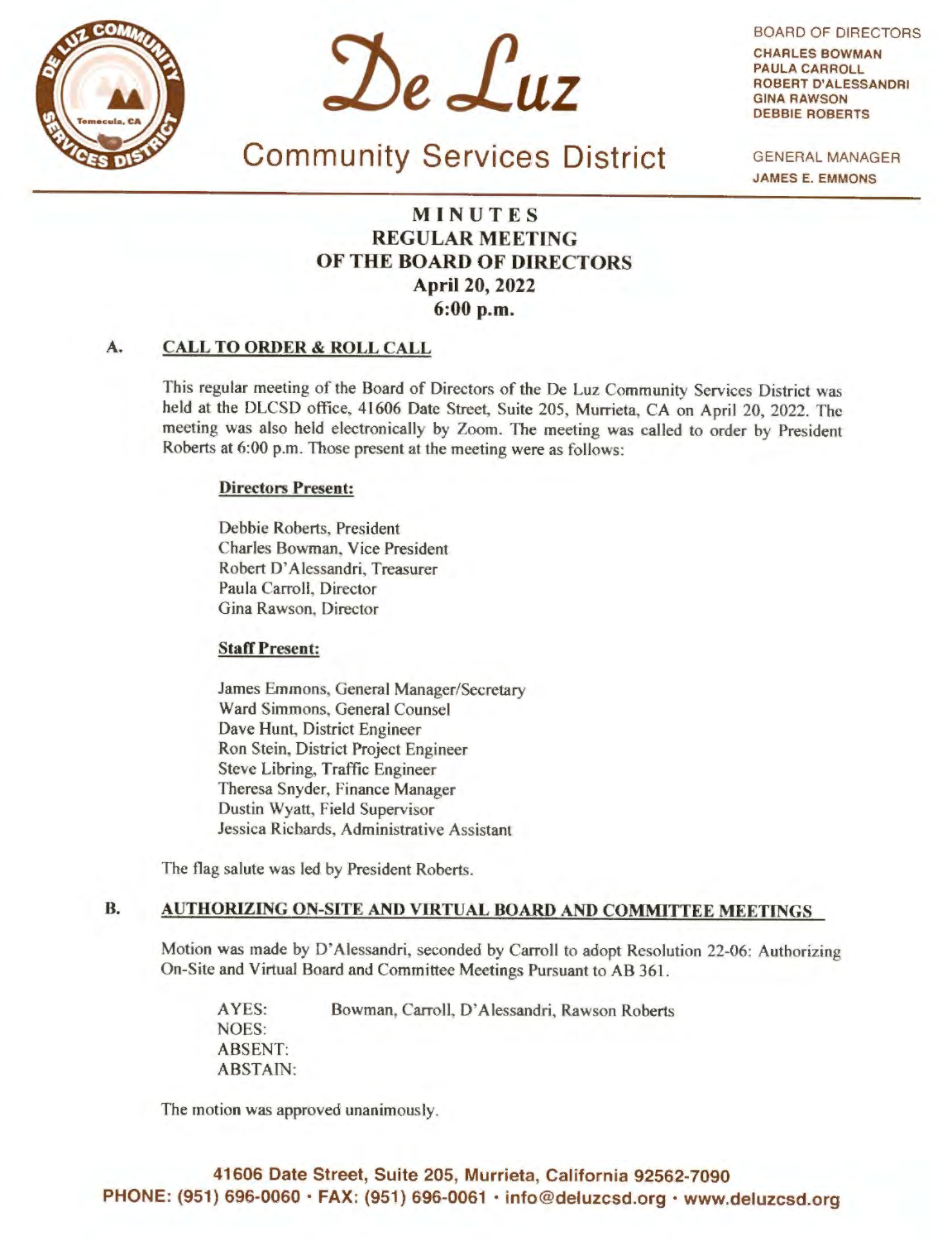



BOARD OF DIRECTORS CHARLES **BOWMAN**  PAULA CARROLL ROBERT D'ALESSANDRI **GINA RAWSON**  DEBBIE ROBERTS

Community Services District GENERAL MANAGER **JAMES** E. **EMMONS** 

# **MINUTES REGULAR MEETING OF THE BOARD OF DIRECTORS April 20, 2022 6:00 p.m.**

#### **A. CALL TO ORDER** & **ROLL CALL**

This regular meeting of the Board of Directors of the De Luz Community Services District was held at the DLCSD office, 41606 Date Street, Suite 205, Murrieta, CA on April 20, 2022. The meeting was also held electronically by Zoom. The meeting was called to order by President Roberts at 6:00 p.m. Those present at the meeting were as follows:

# **Directors Present:**

Debbie Roberts, President Charles Bowman, Vice President Robert D' Alessandri, Treasurer Paula Carroll, Director Gina Rawson, Director

## **Staff Present:**

James Emmons, General Manager/Secretary Ward Simmons. General Counsel Dave Hunt, District Engineer Ron Stein, District Project Engineer Steve Libring, Traffic Engineer Theresa Snyder, Finance Manager Dustin Wyatt, Field Supervisor Jessica Richards, Administrative Assistant

The flag salute was led by President Roberts.

# **B. AUTHORIZING ON-SITE AND VIRTUAL BOARD AND COMMITTEE MEETINGS**

Motion was made by D' Alessandri, seconded by Carroll to adopt Resolution 22-06: Authorizing On-Site and Virtual Board and Committee Meetings Pursuant to AB 361.

AYES: Bowman, Carroll, D'Alessandri, Rawson Roberts NOES: ABSENT: ABSTAIN:

The motion was approved unanimously.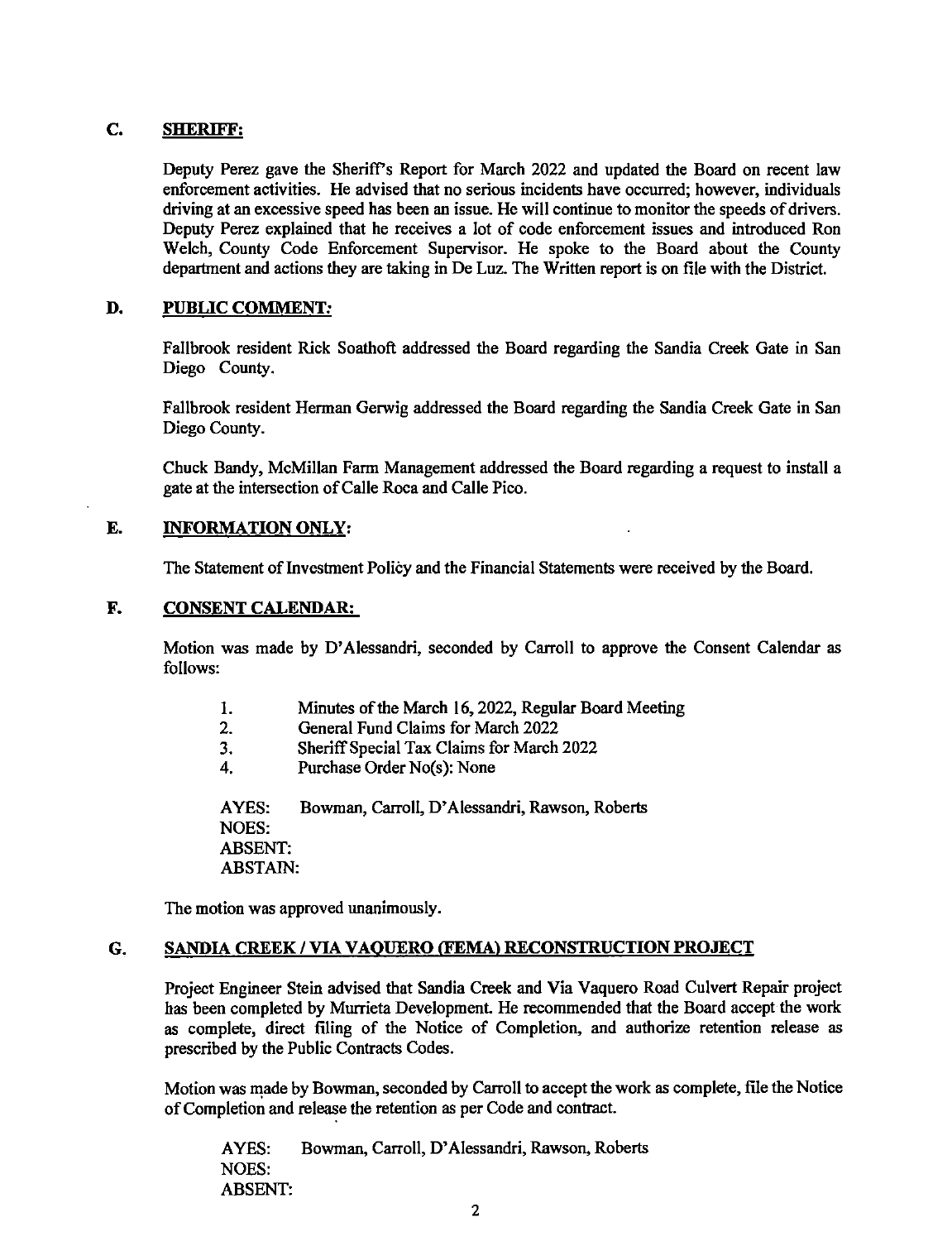# **C. SHERIFF:**

Deputy Perez gave the Sheriff's Report for March 2022 and updated the Board on recent law enforcement activities. He advised that no serious incidents have occurred; however, individuals driving at an excessive speed has been an issue. He will continue to monitor the speeds of drivers. Deputy Perez explained that he receives a lot of code enforcement issues and introduced Ron Welch, County Code Enforcement Supervisor. He spoke to the Board about the County department and actions they are taking in De Luz. The Written report is on file with the District.

#### **D. PUBLIC COMMENT:**

Fallbrook resident Rick Soathoft addressed the Board regarding the Sandia Creek Gate in San Diego County.

Fallbrook resident Herman Gerwig addressed the Board regarding the Sandia Creek Gate in San Diego County.

Chuck Bandy, McMillan Farm Management addressed the Board regarding a request to install a gate at the intersection of Calle Roca and Calle Pico.

## **E. INFORMATION ONLY:**

The Statement of Investment Policy and the Financial Statements were received by the Board.

## **F. CONSENT CALENDAR:**

Motion was made by D'Alessandri, seconded by Carroll to approve the Consent Calendar as follows:

- 1. Minutes of the March 16, 2022, Regular Board Meeting
- 2. General Fund Claims for March 2022
- 3. Sheriff Special Tax Claims for March 2022
- 4. Purchase Order No(s): None

A YES: Bowman, Carroll, D' Alessandri, Rawson, Roberts NOES: ABSENT: ABSTAIN:

The motion was approved unanimously.

#### **G. SANDIA CREEK / VIA VAQUERO (FEMA) RECONSTRUCTION PROJECT**

Project Engineer Stein advised that Sandia Creek and Via Vaquero Road Culvert Repair project has been completed by Murrieta Development. He recommended that the Board accept the work as complete, direct filing of the Notice of Completion, and authorize retention release as prescribed by the Public Contracts Codes.

Motion was made by Bowman, seconded by Carroll to accept the work as complete, file the Notice of Completion and release the retention as per Code and contract.

A YES: Bowman, Carroll, D' Alessandri, Rawson, Roberts NOES: ABSENT: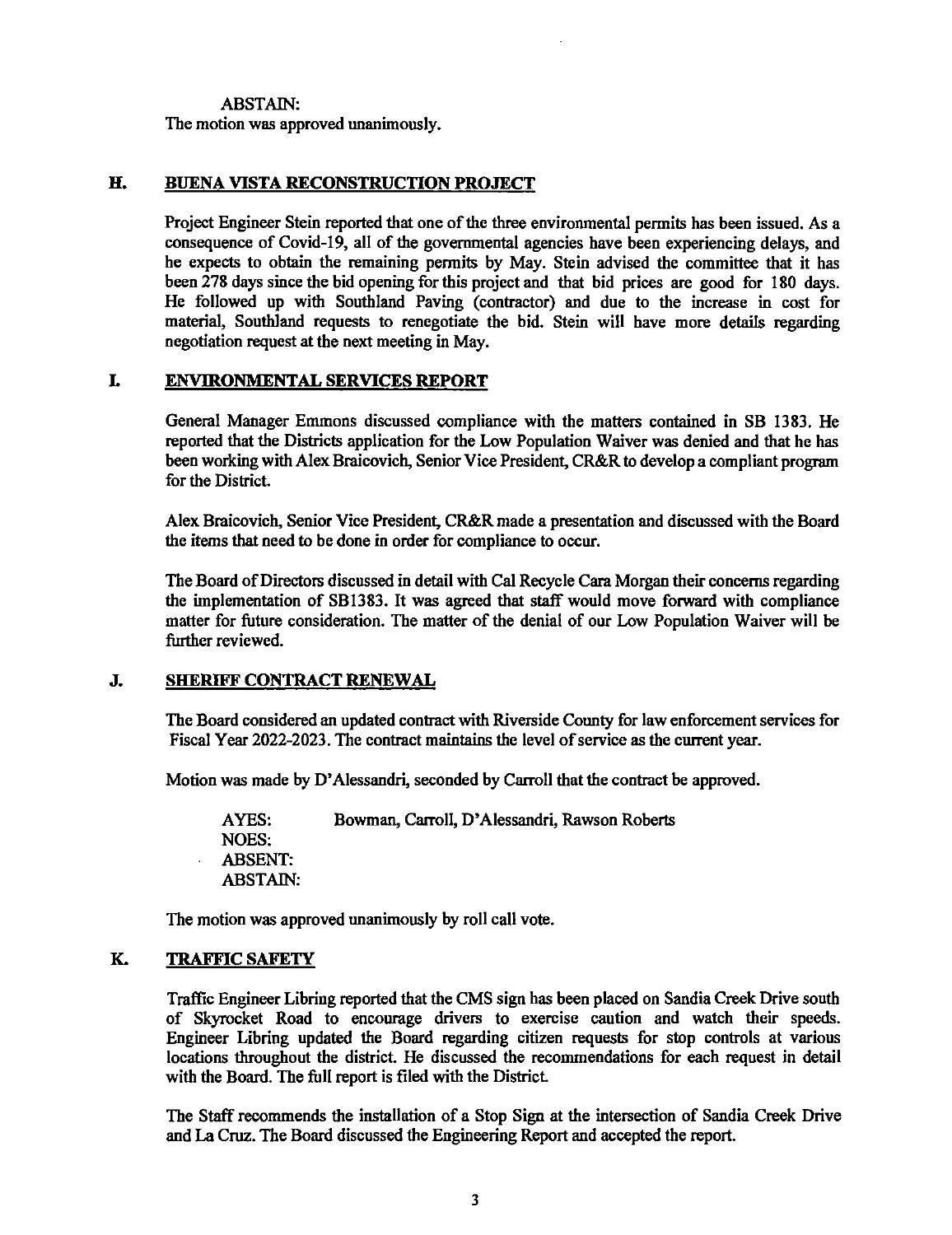ABSTAIN:

The motion was approved unanimously.

## **H. BUENA VISTA RECONSTRUCTION PROJECT**

Project Engineer Stein reported that one of the three environmental permits has been issued. As a consequence of Covid-19, all of the governmental agencies have been experiencing delays, and he expects to obtain the remaining permits by May. Stein advised the committee that it has been 278 days since the bid opening for this project and that bid prices are good for 180 days. He followed up with Southland Paving (contractor) and due to the increase in cost for material, Southland requests to renegotiate the bid. Stein will have more details regarding negotiation request at the next meeting in May.

# **L ENVIRONMENTAL SERVICES REPORT**

General Manager Emmons discussed compliance with the matters contained in SB 1383. He reported that the Districts application for the Low Population Waiver was denied and that he has been working with Alex Braicovich, Senior Vice President, CR&R to develop a compliant program for the District.

Alex Braicovich, Senior Vice President, CR&R made a presentation and discussed with the Board the items that need to be done in order for compliance to occur.

The Board of Directors discussed in detail with Cal Recycle Cara Morgan their concerns regarding the implementation of SB1383. It was agreed that staff would move forward with compliance matter for future consideration. The matter of the denial of our Low Population Waiver will be further reviewed.

## **J. SHERIFF CONTRACT RENEWAL**

The Board considered an updated contract with Riverside County for law enforcement services for Fiscal Year 2022-2023. The contract maintains the level of service as the current year.

Motion was made by D' Alessandri, seconded by Carroll that the contract be approved.

AYES: Bowman, Carroll, D' Alessandri, Rawson Roberts NOES: ABSENT: ABSTAIN:

The motion was approved unanimously by roll call vote.

# **K. TRAFFIC SAFETY**

Traffic Engineer Libring reported that the CMS sign has been placed on Sandia Creek Drive south of Skyrocket Road to encourage drivers to exercise caution and watch their speeds. Engineer Libring updated the Board regarding citizen requests for stop controls at various locations throughout the district. He discussed the recommendations for each request in detail with the Board. The full report is filed with the District.

The Staff recommends the installation of a Stop Sign at the intersection of Sandia Creek Drive and La Cruz. The Board discussed the Engineering Report and accepted the report.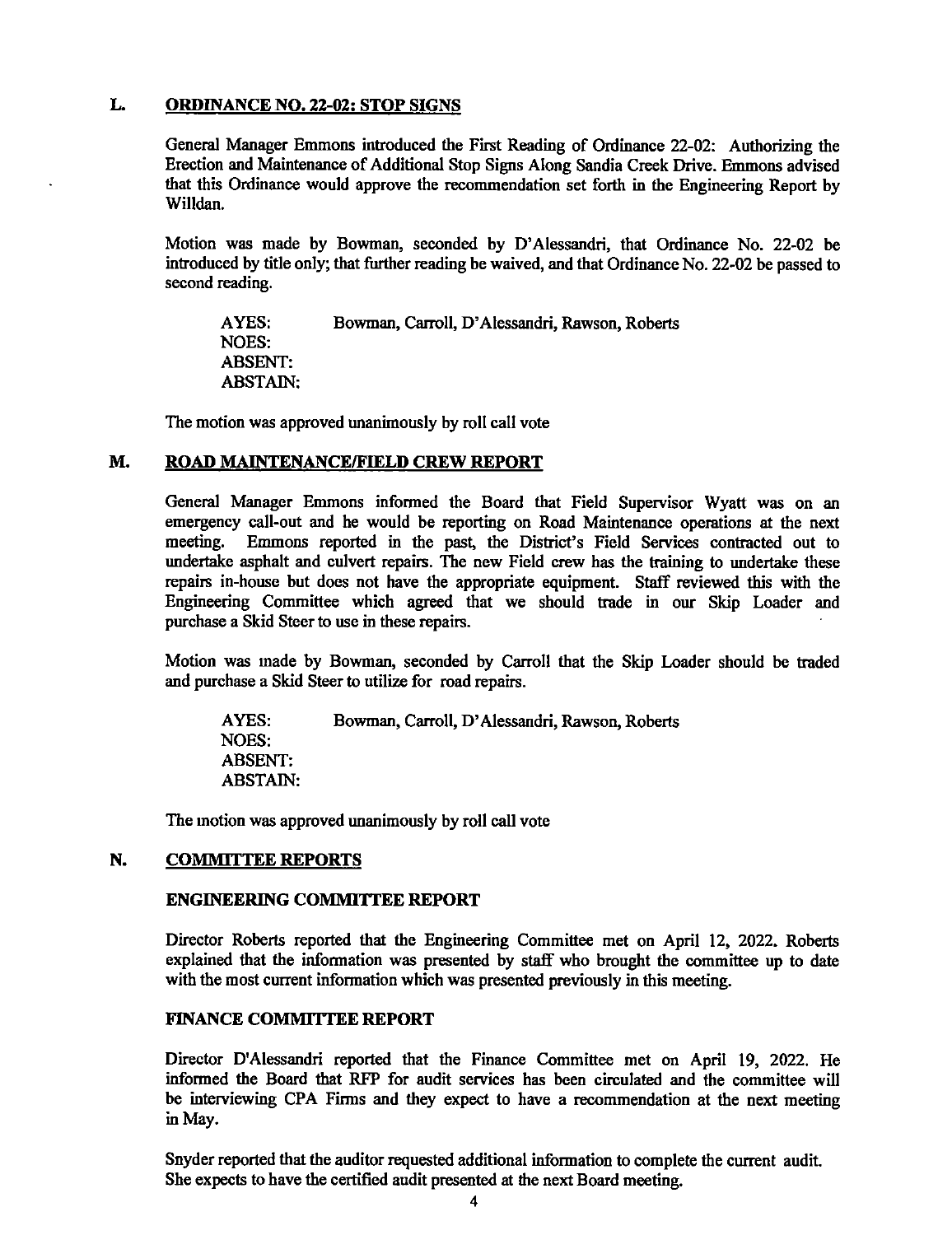## **L. ORDINANCE NO. 22-02: STOP SIGNS**

General Manager Emmons introduced the First Reading of Ordinance 22-02: Authorizing the Erection and Maintenance of Additional Stop Signs Along Sandia Creek Drive. Emmons advised that this Ordinance would approve the recommendation set forth in the Engineering Report by Willdan.

Motion was made by Bowman, seconded by D'Alessandri, that Ordinance No. 22-02 be introduced by title only; that further reading be waived, and that Ordinance No. 22-02 be passed to second reading.

AYES: Bowman, Carroll, D' Alessandri, Rawson, Roberts NOES: ABSENT: ABSTAIN:

The motion was approved unanimously by roll call vote

## **M. ROAD MAINTENANCE/FIELD CREW REPORT**

General Manager Emmons informed the Board that Field Supervisor Wyatt was on an emergency call-out and he would be reporting on Road Maintenance operations at the next meeting. Emmons reported in the past, the District's Field Services contracted out to undertake asphalt and culvert repairs. The new Field crew has the training to undertake these repairs in-house but does not have the appropriate equipment. Staff reviewed this with the Engineering Committee which agreed that we should trade in our Skip Loader and purchase a Skid Steer to use in these repairs.

Motion was made by Bowman, seconded by Carroll that the Skip Loader should be traded and purchase a Skid Steer to utilize for road repairs.

AYES: Bowman, Carroll, D' Alessandri, Rawson, Roberts NOES: ABSENT: ABSTAIN:

The motion was approved unanimously by roll call vote

#### **N. COMMITTEE REPORTS**

### **ENGINEERING COMMITTEE REPORT**

Director Roberts reported that the Engineering Committee met on April 12, 2022. Roberts explained that the information was presented by staff who brought the committee up to date with the most current information which was presented previously in this meeting.

## **FINANCE COMMITTEE REPORT**

Director D'Alessandri reported that the Finance Committee met on April 19, 2022. He informed the Board that RFP for audit services has been circulated and the committee will be interviewing CPA Firms and they expect to have a recommendation at the next meeting in May.

Snyder reported that the auditor requested additional information to complete the current audit. She expects to have the certified audit presented at the next Board meeting.